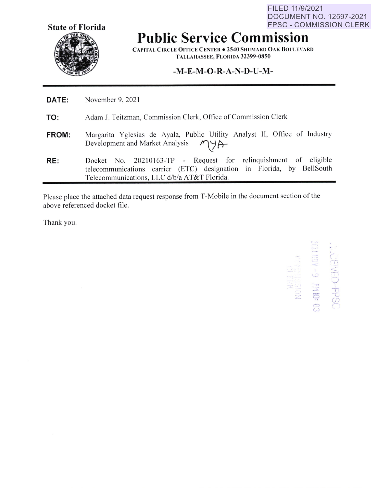**State of Florida** 

FPSC - COMMISSION CLERK **Public Service Commission** 

FILED 11/9/2021

DOCUMENT NO. 12597-2021

**CAPITAL CIRCLE OFFICE CENTER . 2540 SHUMARD OAK BOULEVARD T ALLAI-IASSEE, FLORIDA 32399-0850** 

## **-M-E-M-O-R-A-N-D-U-M-**

- **DATE:**  November 9, 2021
- **TO:**  Adam J. Teitzman, Commission Clerk, Office of Commission Clerk
- **FROM:**  Margarita Yglesias de Ayala, Public Utility Analyst II, Office of Industry Development and Market Analysis 1944
- **RE:**  Docket No. 20210163-TP - Request for relinquishment of eligible telecommunications carrier (ETC) designation in Florida, by BellSouth Telecommunications, LLC d/b/a AT&T Florida.

Please place the attached data request response from T-Mobile in the document section of the above referenced docket file.

Thank you.

, - I -- '-· *::;*  I  $\approx$   $\frac{1}{5}$   $\frac{1}{20}$ =' *r r\_~*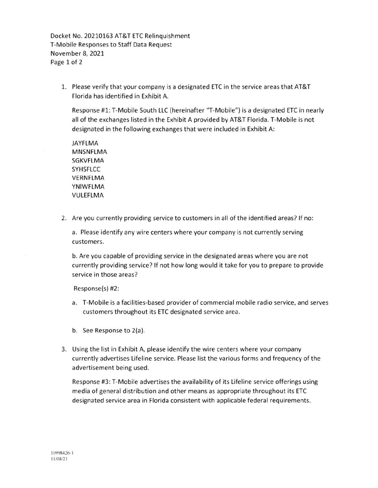Docket No. 20210163 AT&T ETC Relinquishment T-Mobile Responses to Staff Data Request November 8, 2021 Page 1 of 2

1. Please verify that your company is a designated ETC in the service areas that AT&T Florida has identified in Exhibit A.

Response #1: T-Mobile South LLC (hereinafter "T-Mobile") is a designated ETC in nearly all of the exchanges listed in the Exhibit A provided by AT&T Florida. T-Mobile is not designated in the following exchanges that were included in Exhibit A:

**JAYFLMA MNSNFLMA SGKVFLMA SYHSFLCC VERNFLMA YNIWFLMA VULEFLMA** 

2. Are you currently providing service to customers in all of the identified areas? If no:

a. Please identify any wire centers where your company is not currently serving customers.

b. Are you capable of providing service in the designated areas where you are not currently providing service? If not how long would it take for you to prepare to provide service in those areas?

Response(s) #2:

- a. T-Mobile is a facilities-based provider of commercial mobile radio service, and serves customers throughout its ETC designated service area.
- b. See Response to 2(a).
- 3. Using the list in Exhibit A, please identify the wire centers where your company currently advertises Lifeline service. Please list the various forms and frequency of the advertisement being used.

Response #3 : T-Mobile advertises the availability of its Lifeline service offerings using media of general distribution and other means as appropriate throughout its ETC designated service area in Florida consistent with applicable federal requirements.